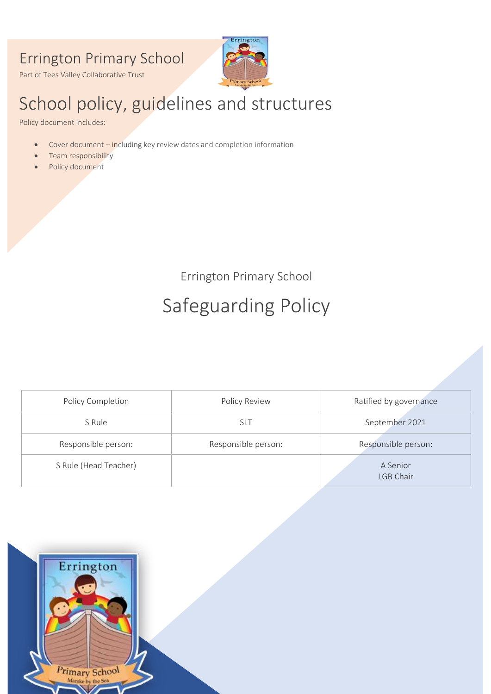## Errington Primary School

Part of Tees Valley Collaborative Trust



## School policy, guidelines and structures

Policy document includes:

- Cover document including key review dates and completion information
- Team responsibility
- Policy document

Errington Primary School

# Safeguarding Policy

| Policy Completion     | Policy Review       | Ratified by governance       |  |
|-----------------------|---------------------|------------------------------|--|
| S Rule                | slt                 | September 2021               |  |
| Responsible person:   | Responsible person: | Responsible person:          |  |
| S Rule (Head Teacher) |                     | A Senior<br><b>LGB Chair</b> |  |

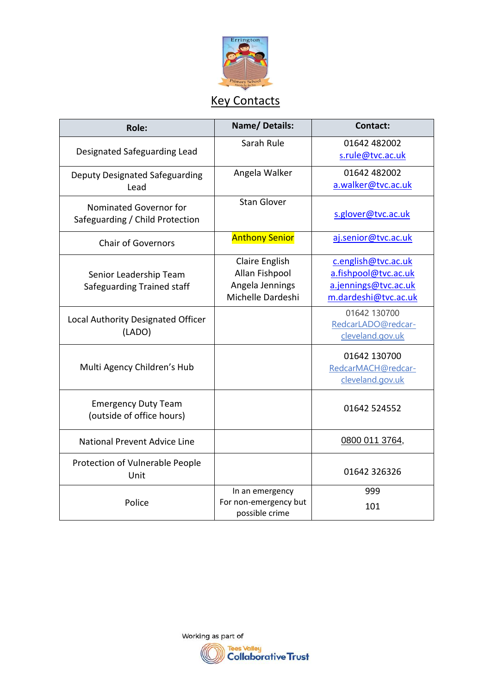

### Key Contacts

| <b>Role:</b>                                              | <b>Name/Details:</b>                                                     | <b>Contact:</b>                                                                             |
|-----------------------------------------------------------|--------------------------------------------------------------------------|---------------------------------------------------------------------------------------------|
| Designated Safeguarding Lead                              | Sarah Rule                                                               | 01642 482002<br>s.rule@tvc.ac.uk                                                            |
| Deputy Designated Safeguarding<br>Lead                    | Angela Walker                                                            | 01642 482002<br>a.walker@tvc.ac.uk                                                          |
| Nominated Governor for<br>Safeguarding / Child Protection | <b>Stan Glover</b>                                                       | s.glover@tvc.ac.uk                                                                          |
| <b>Chair of Governors</b>                                 | <b>Anthony Senior</b>                                                    | aj.senior@tvc.ac.uk                                                                         |
| Senior Leadership Team<br>Safeguarding Trained staff      | Claire English<br>Allan Fishpool<br>Angela Jennings<br>Michelle Dardeshi | c.english@tvc.ac.uk<br>a.fishpool@tvc.ac.uk<br>a.jennings@tvc.ac.uk<br>m.dardeshi@tvc.ac.uk |
| Local Authority Designated Officer<br>(LADO)              |                                                                          | 01642 130700<br>RedcarLADO@redcar-<br>cleveland.gov.uk                                      |
| Multi Agency Children's Hub                               |                                                                          | 01642 130700<br>RedcarMACH@redcar-<br>cleveland.gov.uk                                      |
| <b>Emergency Duty Team</b><br>(outside of office hours)   |                                                                          | 01642 524552                                                                                |
| National Prevent Advice Line                              |                                                                          | 0800 011 3764,                                                                              |
| Protection of Vulnerable People<br>Unit                   |                                                                          | 01642 326326                                                                                |
| Police                                                    | In an emergency<br>For non-emergency but<br>possible crime               | 999<br>101                                                                                  |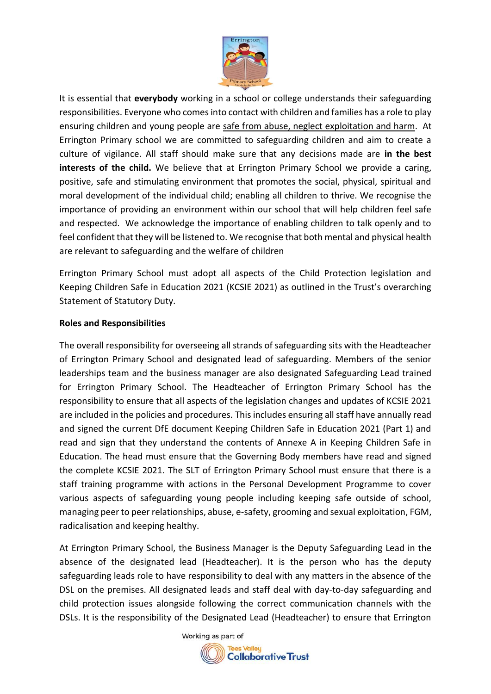

It is essential that **everybody** working in a school or college understands their safeguarding responsibilities. Everyone who comes into contact with children and families has a role to play ensuring children and young people are safe from abuse, neglect exploitation and harm. At Errington Primary school we are committed to safeguarding children and aim to create a culture of vigilance. All staff should make sure that any decisions made are **in the best interests of the child.** We believe that at Errington Primary School we provide a caring, positive, safe and stimulating environment that promotes the social, physical, spiritual and moral development of the individual child; enabling all children to thrive. We recognise the importance of providing an environment within our school that will help children feel safe and respected. We acknowledge the importance of enabling children to talk openly and to feel confident that they will be listened to. We recognise that both mental and physical health are relevant to safeguarding and the welfare of children

Errington Primary School must adopt all aspects of the Child Protection legislation and Keeping Children Safe in Education 2021 (KCSIE 2021) as outlined in the Trust's overarching Statement of Statutory Duty.

#### **Roles and Responsibilities**

The overall responsibility for overseeing all strands of safeguarding sits with the Headteacher of Errington Primary School and designated lead of safeguarding. Members of the senior leaderships team and the business manager are also designated Safeguarding Lead trained for Errington Primary School. The Headteacher of Errington Primary School has the responsibility to ensure that all aspects of the legislation changes and updates of KCSIE 2021 are included in the policies and procedures. This includes ensuring all staff have annually read and signed the current DfE document Keeping Children Safe in Education 2021 (Part 1) and read and sign that they understand the contents of Annexe A in Keeping Children Safe in Education. The head must ensure that the Governing Body members have read and signed the complete KCSIE 2021. The SLT of Errington Primary School must ensure that there is a staff training programme with actions in the Personal Development Programme to cover various aspects of safeguarding young people including keeping safe outside of school, managing peer to peer relationships, abuse, e-safety, grooming and sexual exploitation, FGM, radicalisation and keeping healthy.

At Errington Primary School, the Business Manager is the Deputy Safeguarding Lead in the absence of the designated lead (Headteacher). It is the person who has the deputy safeguarding leads role to have responsibility to deal with any matters in the absence of the DSL on the premises. All designated leads and staff deal with day-to-day safeguarding and child protection issues alongside following the correct communication channels with the DSLs. It is the responsibility of the Designated Lead (Headteacher) to ensure that Errington

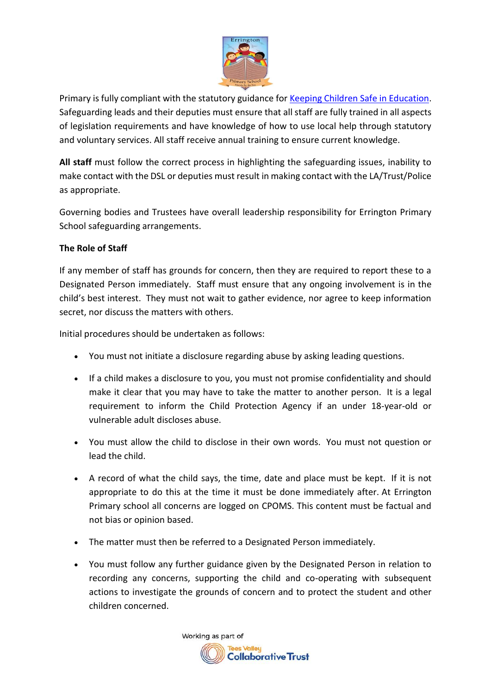

Primary is fully compliant with the statutory guidance for [Keeping Children Safe in Education.](https://assets.publishing.service.gov.uk/government/uploads/system/uploads/attachment_data/file/741314/Keeping_Children_Safe_in_Education__3_September_2018_14.09.18.pdf) Safeguarding leads and their deputies must ensure that all staff are fully trained in all aspects of legislation requirements and have knowledge of how to use local help through statutory and voluntary services. All staff receive annual training to ensure current knowledge.

**All staff** must follow the correct process in highlighting the safeguarding issues, inability to make contact with the DSL or deputies must result in making contact with the LA/Trust/Police as appropriate.

Governing bodies and Trustees have overall leadership responsibility for Errington Primary School safeguarding arrangements.

#### **The Role of Staff**

If any member of staff has grounds for concern, then they are required to report these to a Designated Person immediately. Staff must ensure that any ongoing involvement is in the child's best interest. They must not wait to gather evidence, nor agree to keep information secret, nor discuss the matters with others.

Initial procedures should be undertaken as follows:

- You must not initiate a disclosure regarding abuse by asking leading questions.
- If a child makes a disclosure to you, you must not promise confidentiality and should make it clear that you may have to take the matter to another person. It is a legal requirement to inform the Child Protection Agency if an under 18-year-old or vulnerable adult discloses abuse.
- You must allow the child to disclose in their own words. You must not question or lead the child.
- A record of what the child says, the time, date and place must be kept. If it is not appropriate to do this at the time it must be done immediately after. At Errington Primary school all concerns are logged on CPOMS. This content must be factual and not bias or opinion based.
- The matter must then be referred to a Designated Person immediately.
- You must follow any further guidance given by the Designated Person in relation to recording any concerns, supporting the child and co-operating with subsequent actions to investigate the grounds of concern and to protect the student and other children concerned.

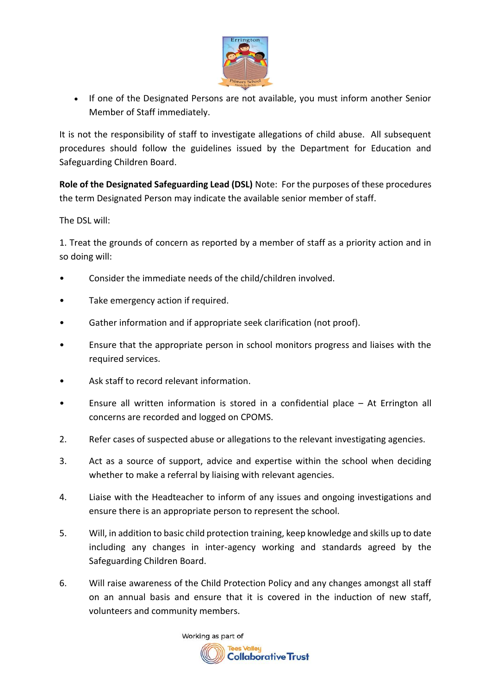

• If one of the Designated Persons are not available, you must inform another Senior Member of Staff immediately.

It is not the responsibility of staff to investigate allegations of child abuse. All subsequent procedures should follow the guidelines issued by the Department for Education and Safeguarding Children Board.

**Role of the Designated Safeguarding Lead (DSL)** Note: For the purposes of these procedures the term Designated Person may indicate the available senior member of staff.

The DSL will:

1. Treat the grounds of concern as reported by a member of staff as a priority action and in so doing will:

- Consider the immediate needs of the child/children involved.
- Take emergency action if required.
- Gather information and if appropriate seek clarification (not proof).
- Ensure that the appropriate person in school monitors progress and liaises with the required services.
- Ask staff to record relevant information.
- Ensure all written information is stored in a confidential place  $-$  At Errington all concerns are recorded and logged on CPOMS.
- 2. Refer cases of suspected abuse or allegations to the relevant investigating agencies.
- 3. Act as a source of support, advice and expertise within the school when deciding whether to make a referral by liaising with relevant agencies.
- 4. Liaise with the Headteacher to inform of any issues and ongoing investigations and ensure there is an appropriate person to represent the school.
- 5. Will, in addition to basic child protection training, keep knowledge and skills up to date including any changes in inter-agency working and standards agreed by the Safeguarding Children Board.
- 6. Will raise awareness of the Child Protection Policy and any changes amongst all staff on an annual basis and ensure that it is covered in the induction of new staff, volunteers and community members.

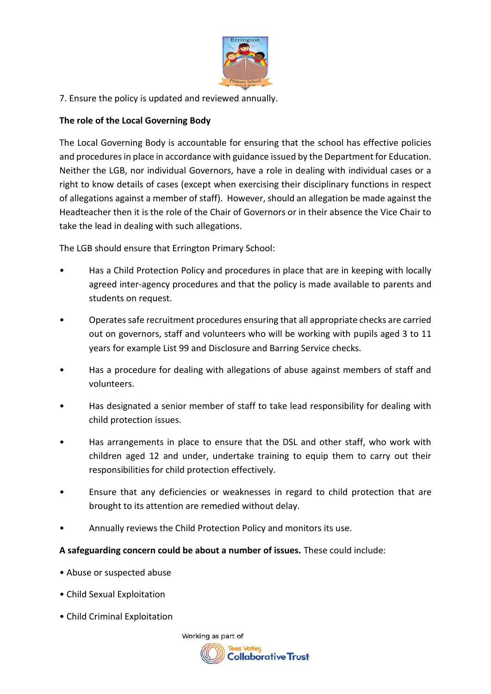

7. Ensure the policy is updated and reviewed annually.

#### **The role of the Local Governing Body**

The Local Governing Body is accountable for ensuring that the school has effective policies and procedures in place in accordance with guidance issued by the Department for Education. Neither the LGB, nor individual Governors, have a role in dealing with individual cases or a right to know details of cases (except when exercising their disciplinary functions in respect of allegations against a member of staff). However, should an allegation be made against the Headteacher then it is the role of the Chair of Governors or in their absence the Vice Chair to take the lead in dealing with such allegations.

The LGB should ensure that Errington Primary School:

- Has a Child Protection Policy and procedures in place that are in keeping with locally agreed inter-agency procedures and that the policy is made available to parents and students on request.
- Operates safe recruitment procedures ensuring that all appropriate checks are carried out on governors, staff and volunteers who will be working with pupils aged 3 to 11 years for example List 99 and Disclosure and Barring Service checks.
- Has a procedure for dealing with allegations of abuse against members of staff and volunteers.
- Has designated a senior member of staff to take lead responsibility for dealing with child protection issues.
- Has arrangements in place to ensure that the DSL and other staff, who work with children aged 12 and under, undertake training to equip them to carry out their responsibilities for child protection effectively.
- Ensure that any deficiencies or weaknesses in regard to child protection that are brought to its attention are remedied without delay.
- Annually reviews the Child Protection Policy and monitors its use.

#### **A safeguarding concern could be about a number of issues.** These could include:

- Abuse or suspected abuse
- Child Sexual Exploitation
- Child Criminal Exploitation

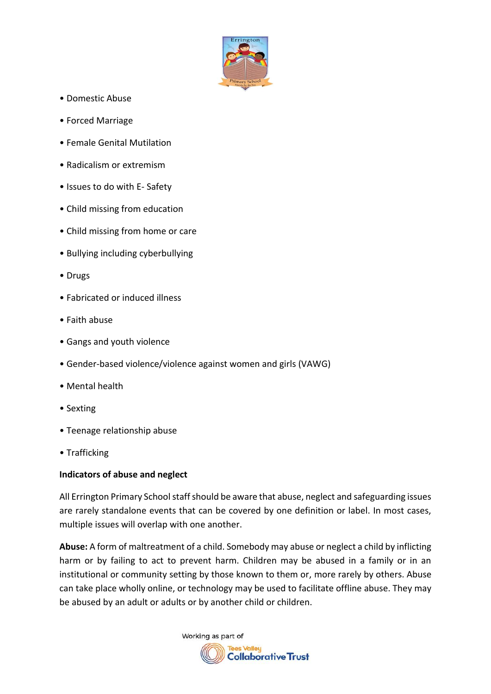

- Domestic Abuse
- Forced Marriage
- Female Genital Mutilation
- Radicalism or extremism
- Issues to do with E- Safety
- Child missing from education
- Child missing from home or care
- Bullying including cyberbullying
- Drugs
- Fabricated or induced illness
- Faith abuse
- Gangs and youth violence
- Gender-based violence/violence against women and girls (VAWG)
- Mental health
- Sexting
- Teenage relationship abuse
- Trafficking

#### **Indicators of abuse and neglect**

All Errington Primary School staff should be aware that abuse, neglect and safeguarding issues are rarely standalone events that can be covered by one definition or label. In most cases, multiple issues will overlap with one another.

**Abuse:** A form of maltreatment of a child. Somebody may abuse or neglect a child by inflicting harm or by failing to act to prevent harm. Children may be abused in a family or in an institutional or community setting by those known to them or, more rarely by others. Abuse can take place wholly online, or technology may be used to facilitate offline abuse. They may be abused by an adult or adults or by another child or children.

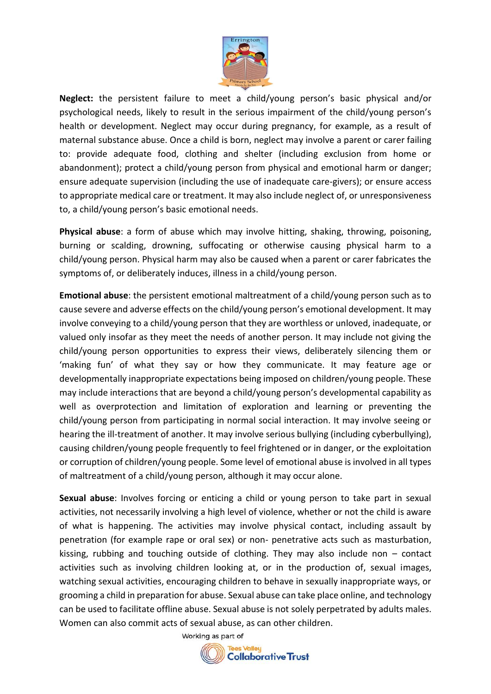

**Neglect:** the persistent failure to meet a child/young person's basic physical and/or psychological needs, likely to result in the serious impairment of the child/young person's health or development. Neglect may occur during pregnancy, for example, as a result of maternal substance abuse. Once a child is born, neglect may involve a parent or carer failing to: provide adequate food, clothing and shelter (including exclusion from home or abandonment); protect a child/young person from physical and emotional harm or danger; ensure adequate supervision (including the use of inadequate care-givers); or ensure access to appropriate medical care or treatment. It may also include neglect of, or unresponsiveness to, a child/young person's basic emotional needs.

**Physical abuse**: a form of abuse which may involve hitting, shaking, throwing, poisoning, burning or scalding, drowning, suffocating or otherwise causing physical harm to a child/young person. Physical harm may also be caused when a parent or carer fabricates the symptoms of, or deliberately induces, illness in a child/young person.

**Emotional abuse**: the persistent emotional maltreatment of a child/young person such as to cause severe and adverse effects on the child/young person's emotional development. It may involve conveying to a child/young person that they are worthless or unloved, inadequate, or valued only insofar as they meet the needs of another person. It may include not giving the child/young person opportunities to express their views, deliberately silencing them or 'making fun' of what they say or how they communicate. It may feature age or developmentally inappropriate expectations being imposed on children/young people. These may include interactions that are beyond a child/young person's developmental capability as well as overprotection and limitation of exploration and learning or preventing the child/young person from participating in normal social interaction. It may involve seeing or hearing the ill-treatment of another. It may involve serious bullying (including cyberbullying), causing children/young people frequently to feel frightened or in danger, or the exploitation or corruption of children/young people. Some level of emotional abuse is involved in all types of maltreatment of a child/young person, although it may occur alone.

**Sexual abuse**: Involves forcing or enticing a child or young person to take part in sexual activities, not necessarily involving a high level of violence, whether or not the child is aware of what is happening. The activities may involve physical contact, including assault by penetration (for example rape or oral sex) or non- penetrative acts such as masturbation, kissing, rubbing and touching outside of clothing. They may also include non – contact activities such as involving children looking at, or in the production of, sexual images, watching sexual activities, encouraging children to behave in sexually inappropriate ways, or grooming a child in preparation for abuse. Sexual abuse can take place online, and technology can be used to facilitate offline abuse. Sexual abuse is not solely perpetrated by adults males. Women can also commit acts of sexual abuse, as can other children.

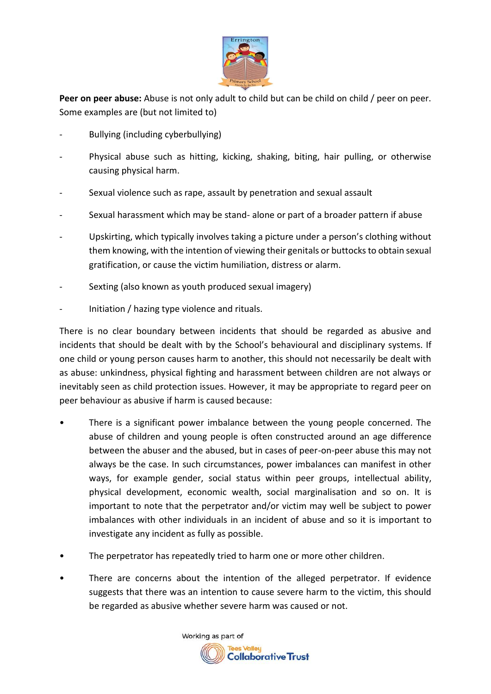

Peer on peer abuse: Abuse is not only adult to child but can be child on child / peer on peer. Some examples are (but not limited to)

- Bullying (including cyberbullying)
- Physical abuse such as hitting, kicking, shaking, biting, hair pulling, or otherwise causing physical harm.
- Sexual violence such as rape, assault by penetration and sexual assault
- Sexual harassment which may be stand- alone or part of a broader pattern if abuse
- Upskirting, which typically involves taking a picture under a person's clothing without them knowing, with the intention of viewing their genitals or buttocks to obtain sexual gratification, or cause the victim humiliation, distress or alarm.
- Sexting (also known as youth produced sexual imagery)
- Initiation / hazing type violence and rituals.

There is no clear boundary between incidents that should be regarded as abusive and incidents that should be dealt with by the School's behavioural and disciplinary systems. If one child or young person causes harm to another, this should not necessarily be dealt with as abuse: unkindness, physical fighting and harassment between children are not always or inevitably seen as child protection issues. However, it may be appropriate to regard peer on peer behaviour as abusive if harm is caused because:

- There is a significant power imbalance between the young people concerned. The abuse of children and young people is often constructed around an age difference between the abuser and the abused, but in cases of peer-on-peer abuse this may not always be the case. In such circumstances, power imbalances can manifest in other ways, for example gender, social status within peer groups, intellectual ability, physical development, economic wealth, social marginalisation and so on. It is important to note that the perpetrator and/or victim may well be subject to power imbalances with other individuals in an incident of abuse and so it is important to investigate any incident as fully as possible.
- The perpetrator has repeatedly tried to harm one or more other children.
- There are concerns about the intention of the alleged perpetrator. If evidence suggests that there was an intention to cause severe harm to the victim, this should be regarded as abusive whether severe harm was caused or not.

Working as part of **Collaborative Trust**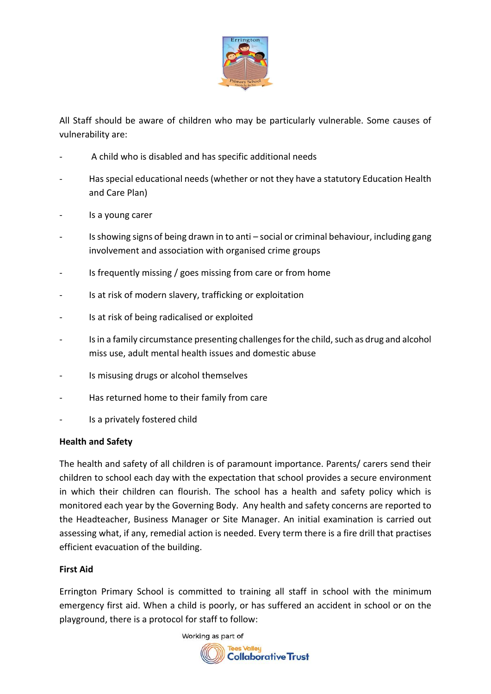

All Staff should be aware of children who may be particularly vulnerable. Some causes of vulnerability are:

- A child who is disabled and has specific additional needs
- Has special educational needs (whether or not they have a statutory Education Health and Care Plan)
- Is a young carer
- Is showing signs of being drawn in to anti social or criminal behaviour, including gang involvement and association with organised crime groups
- Is frequently missing / goes missing from care or from home
- Is at risk of modern slavery, trafficking or exploitation
- Is at risk of being radicalised or exploited
- Is in a family circumstance presenting challenges for the child, such as drug and alcohol miss use, adult mental health issues and domestic abuse
- Is misusing drugs or alcohol themselves
- Has returned home to their family from care
- Is a privately fostered child

#### **Health and Safety**

The health and safety of all children is of paramount importance. Parents/ carers send their children to school each day with the expectation that school provides a secure environment in which their children can flourish. The school has a health and safety policy which is monitored each year by the Governing Body. Any health and safety concerns are reported to the Headteacher, Business Manager or Site Manager. An initial examination is carried out assessing what, if any, remedial action is needed. Every term there is a fire drill that practises efficient evacuation of the building.

#### **First Aid**

Errington Primary School is committed to training all staff in school with the minimum emergency first aid. When a child is poorly, or has suffered an accident in school or on the playground, there is a protocol for staff to follow:

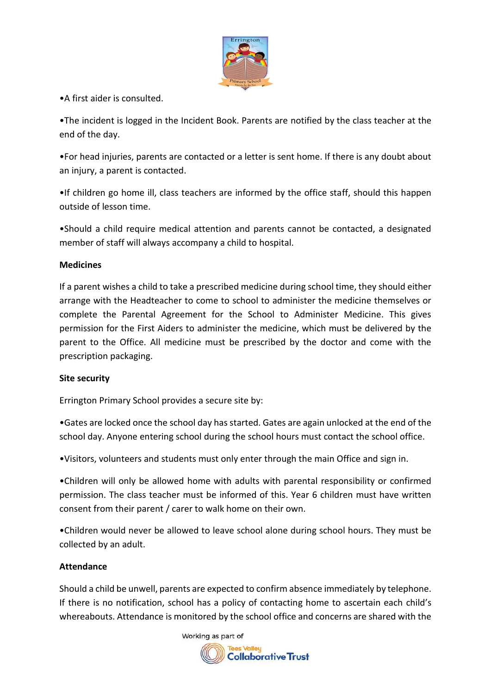

•A first aider is consulted.

•The incident is logged in the Incident Book. Parents are notified by the class teacher at the end of the day.

•For head injuries, parents are contacted or a letter is sent home. If there is any doubt about an injury, a parent is contacted.

•If children go home ill, class teachers are informed by the office staff, should this happen outside of lesson time.

•Should a child require medical attention and parents cannot be contacted, a designated member of staff will always accompany a child to hospital.

#### **Medicines**

If a parent wishes a child to take a prescribed medicine during school time, they should either arrange with the Headteacher to come to school to administer the medicine themselves or complete the Parental Agreement for the School to Administer Medicine. This gives permission for the First Aiders to administer the medicine, which must be delivered by the parent to the Office. All medicine must be prescribed by the doctor and come with the prescription packaging.

#### **Site security**

Errington Primary School provides a secure site by:

•Gates are locked once the school day has started. Gates are again unlocked at the end of the school day. Anyone entering school during the school hours must contact the school office.

•Visitors, volunteers and students must only enter through the main Office and sign in.

•Children will only be allowed home with adults with parental responsibility or confirmed permission. The class teacher must be informed of this. Year 6 children must have written consent from their parent / carer to walk home on their own.

•Children would never be allowed to leave school alone during school hours. They must be collected by an adult.

#### **Attendance**

Should a child be unwell, parents are expected to confirm absence immediately by telephone. If there is no notification, school has a policy of contacting home to ascertain each child's whereabouts. Attendance is monitored by the school office and concerns are shared with the

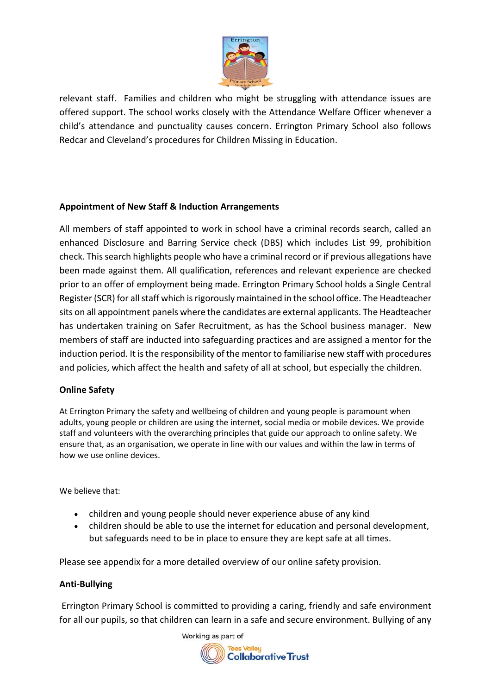

relevant staff. Families and children who might be struggling with attendance issues are offered support. The school works closely with the Attendance Welfare Officer whenever a child's attendance and punctuality causes concern. Errington Primary School also follows Redcar and Cleveland's procedures for Children Missing in Education.

#### **Appointment of New Staff & Induction Arrangements**

All members of staff appointed to work in school have a criminal records search, called an enhanced Disclosure and Barring Service check (DBS) which includes List 99, prohibition check. This search highlights people who have a criminal record or if previous allegations have been made against them. All qualification, references and relevant experience are checked prior to an offer of employment being made. Errington Primary School holds a Single Central Register (SCR) for all staff which is rigorously maintained in the school office. The Headteacher sits on all appointment panels where the candidates are external applicants. The Headteacher has undertaken training on Safer Recruitment, as has the School business manager. New members of staff are inducted into safeguarding practices and are assigned a mentor for the induction period. It is the responsibility of the mentor to familiarise new staff with procedures and policies, which affect the health and safety of all at school, but especially the children.

#### **Online Safety**

At Errington Primary the safety and wellbeing of children and young people is paramount when adults, young people or children are using the internet, social media or mobile devices. We provide staff and volunteers with the overarching principles that guide our approach to online safety. We ensure that, as an organisation, we operate in line with our values and within the law in terms of how we use online devices.

We believe that:

- children and young people should never experience abuse of any kind
- children should be able to use the internet for education and personal development, but safeguards need to be in place to ensure they are kept safe at all times.

Please see appendix for a more detailed overview of our online safety provision.

#### **Anti-Bullying**

Errington Primary School is committed to providing a caring, friendly and safe environment for all our pupils, so that children can learn in a safe and secure environment. Bullying of any

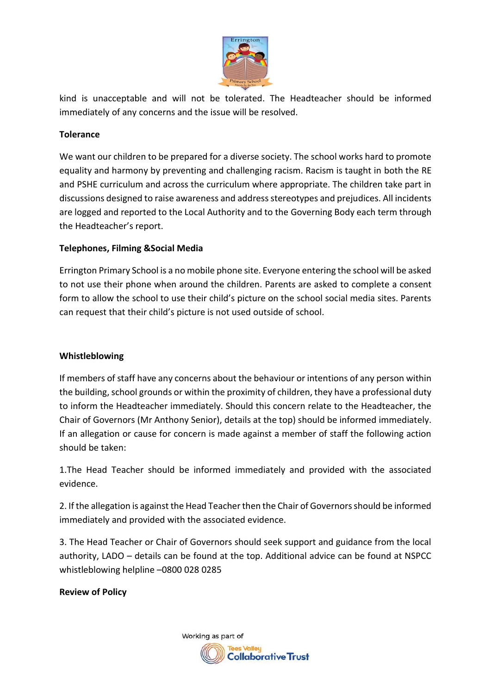

kind is unacceptable and will not be tolerated. The Headteacher should be informed immediately of any concerns and the issue will be resolved.

#### **Tolerance**

We want our children to be prepared for a diverse society. The school works hard to promote equality and harmony by preventing and challenging racism. Racism is taught in both the RE and PSHE curriculum and across the curriculum where appropriate. The children take part in discussions designed to raise awareness and address stereotypes and prejudices. All incidents are logged and reported to the Local Authority and to the Governing Body each term through the Headteacher's report.

#### **Telephones, Filming &Social Media**

Errington Primary School is a no mobile phone site. Everyone entering the school will be asked to not use their phone when around the children. Parents are asked to complete a consent form to allow the school to use their child's picture on the school social media sites. Parents can request that their child's picture is not used outside of school.

#### **Whistleblowing**

If members of staff have any concerns about the behaviour or intentions of any person within the building, school grounds or within the proximity of children, they have a professional duty to inform the Headteacher immediately. Should this concern relate to the Headteacher, the Chair of Governors (Mr Anthony Senior), details at the top) should be informed immediately. If an allegation or cause for concern is made against a member of staff the following action should be taken:

1.The Head Teacher should be informed immediately and provided with the associated evidence.

2. If the allegation is against the Head Teacher then the Chair of Governors should be informed immediately and provided with the associated evidence.

3. The Head Teacher or Chair of Governors should seek support and guidance from the local authority, LADO – details can be found at the top. Additional advice can be found at NSPCC whistleblowing helpline –0800 028 0285

**Review of Policy**

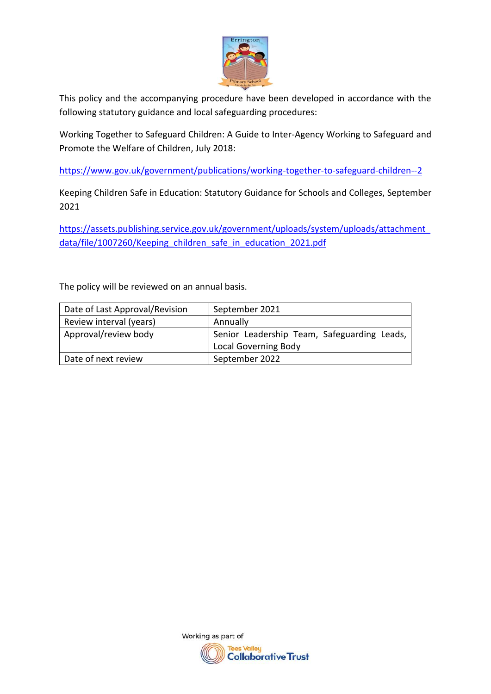

This policy and the accompanying procedure have been developed in accordance with the following statutory guidance and local safeguarding procedures:

Working Together to Safeguard Children: A Guide to Inter-Agency Working to Safeguard and Promote the Welfare of Children, July 2018:

<https://www.gov.uk/government/publications/working-together-to-safeguard-children--2>

Keeping Children Safe in Education: Statutory Guidance for Schools and Colleges, September 2021

[https://assets.publishing.service.gov.uk/government/uploads/system/uploads/attachment\\_](https://assets.publishing.service.gov.uk/government/uploads/system/uploads/attachment_data/file/1007260/Keeping_children_safe_in_education_2021.pdf) data/file/1007260/Keeping children safe in education 2021.pdf

The policy will be reviewed on an annual basis.

| Date of Last Approval/Revision | September 2021                              |
|--------------------------------|---------------------------------------------|
| Review interval (years)        | Annually                                    |
| Approval/review body           | Senior Leadership Team, Safeguarding Leads, |
|                                | <b>Local Governing Body</b>                 |
| Date of next review            | September 2022                              |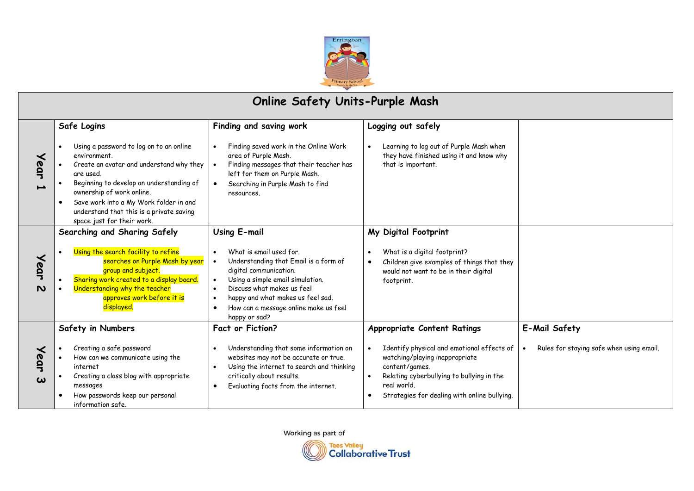

### **Online Safety Units-Purple Mash**

| <b>Year</b>                 | Safe Logins<br>Using a password to log on to an online<br>environment.<br>Create an avatar and understand why they<br>are used.<br>Beginning to develop an understanding of<br>ownership of work online.<br>Save work into a My Work folder in and<br>understand that this is a private saving<br>space just for their work. | Finding and saving work<br>Finding saved work in the Online Work<br>area of Purple Mash.<br>Finding messages that their teacher has<br>left for them on Purple Mash.<br>Searching in Purple Mash to find<br>$\bullet$<br>resources.                                                                                       | Logging out safely<br>Learning to log out of Purple Mash when<br>they have finished using it and know why<br>that is important.                                                                                                                  |                                                                  |
|-----------------------------|------------------------------------------------------------------------------------------------------------------------------------------------------------------------------------------------------------------------------------------------------------------------------------------------------------------------------|---------------------------------------------------------------------------------------------------------------------------------------------------------------------------------------------------------------------------------------------------------------------------------------------------------------------------|--------------------------------------------------------------------------------------------------------------------------------------------------------------------------------------------------------------------------------------------------|------------------------------------------------------------------|
| <b>Year</b><br>$\mathbf{v}$ | Searching and Sharing Safely<br>Using the search facility to refine<br>searches on Purple Mash by year<br>group and subject.<br>Sharing work created to a display board.<br>Understanding why the teacher<br>approves work before it is<br>displayed.                                                                        | <b>Using E-mail</b><br>What is email used for.<br>$\bullet$<br>Understanding that Email is a form of<br>$\bullet$<br>digital communication.<br>Using a simple email simulation.<br>Discuss what makes us feel<br>happy and what makes us feel sad.<br>$\bullet$<br>How can a message online make us feel<br>happy or sad? | My Digital Footprint<br>What is a digital footprint?<br>$\bullet$<br>Children give examples of things that they<br>would not want to be in their digital<br>footprint.                                                                           |                                                                  |
| ear<br>$\omega$             | Safety in Numbers<br>Creating a safe password<br>How can we communicate using the<br>internet<br>Creating a class blog with appropriate<br>messages<br>How passwords keep our personal<br>information safe.                                                                                                                  | Fact or Fiction?<br>Understanding that some information on<br>$\bullet$<br>websites may not be accurate or true.<br>Using the internet to search and thinking<br>critically about results.<br>Evaluating facts from the internet.                                                                                         | <b>Appropriate Content Ratings</b><br>Identify physical and emotional effects of<br>watching/playing inappropriate<br>content/games.<br>Relating cyberbullying to bullying in the<br>real world.<br>Strategies for dealing with online bullying. | <b>E-Mail Safety</b><br>Rules for staying safe when using email. |

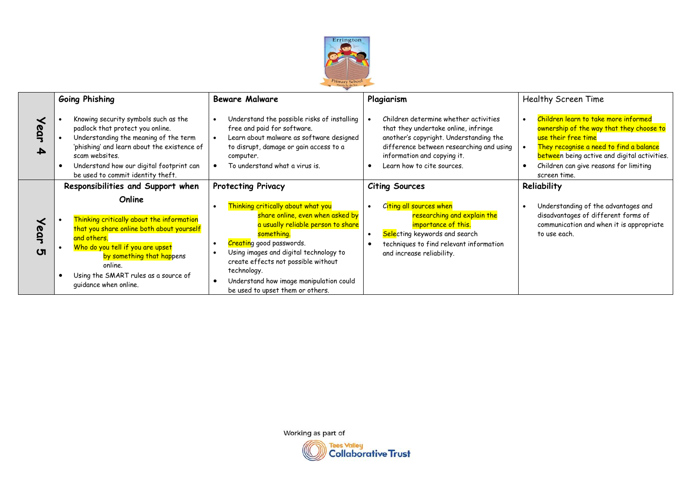

|           | <b>Going Phishing</b>                                                                                                                                                                                                                                               | <b>Beware Malware</b>                                                                                                                                                                                                                                                                                                                        | Plagiarism                                                                                                                                                                                                                       | Healthy Screen Time                                                                                                                                                                                                                                          |
|-----------|---------------------------------------------------------------------------------------------------------------------------------------------------------------------------------------------------------------------------------------------------------------------|----------------------------------------------------------------------------------------------------------------------------------------------------------------------------------------------------------------------------------------------------------------------------------------------------------------------------------------------|----------------------------------------------------------------------------------------------------------------------------------------------------------------------------------------------------------------------------------|--------------------------------------------------------------------------------------------------------------------------------------------------------------------------------------------------------------------------------------------------------------|
| ear       | Knowing security symbols such as the<br>padlock that protect you online.<br>Understanding the meaning of the term<br>'phishing' and learn about the existence of<br>scam websites.<br>Understand how our digital footprint can<br>be used to commit identity theft. | Understand the possible risks of installing<br>free and paid for software.<br>Learn about malware as software designed<br>to disrupt, damage or gain access to a<br>computer.<br>To understand what a virus is.                                                                                                                              | Children determine whether activities<br>that they undertake online, infringe<br>another's copyright. Understanding the<br>difference between researching and using<br>information and copying it.<br>Learn how to cite sources. | Children learn to take more informed<br>ownership of the way that they choose to<br>use their free time<br>They recognise a need to find a balance<br>between being active and digital activities.<br>Children can give reasons for limiting<br>screen time. |
|           | Responsibilities and Support when                                                                                                                                                                                                                                   | <b>Protecting Privacy</b>                                                                                                                                                                                                                                                                                                                    | <b>Citing Sources</b>                                                                                                                                                                                                            | Reliability                                                                                                                                                                                                                                                  |
| ear<br>LЛ | Online<br>Thinking critically about the information<br>that you share online both about yourself<br>and others.<br>Who do you tell if you are upset<br>by something that happens<br>online.<br>Using the SMART rules as a source of<br>guidance when online.        | Thinking critically about what you<br>share online, even when asked by<br>a usually reliable person to share<br>something.<br><b>Creating</b> good passwords.<br>Using images and digital technology to<br>create effects not possible without<br>technology.<br>Understand how image manipulation could<br>be used to upset them or others. | Citing all sources when<br>researching and explain the<br>importance of this.<br>Selecting keywords and search<br>techniques to find relevant information<br>and increase reliability.                                           | Understanding of the advantages and<br>disadvantages of different forms of<br>communication and when it is appropriate<br>to use each.                                                                                                                       |